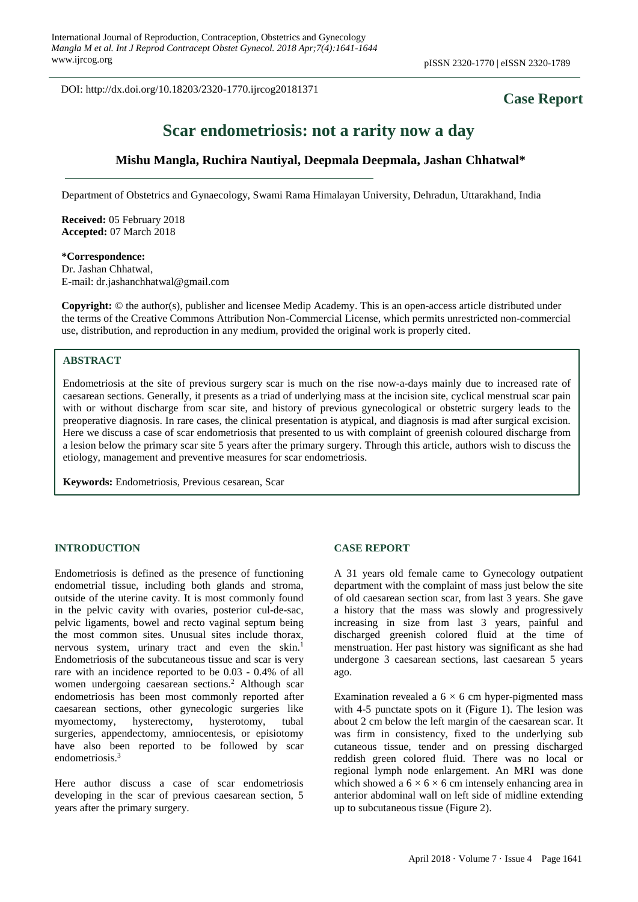DOI: http://dx.doi.org/10.18203/2320-1770.ijrcog20181371

# **Case Report**

# **Scar endometriosis: not a rarity now a day**

## **Mishu Mangla, Ruchira Nautiyal, Deepmala Deepmala, Jashan Chhatwal\***

Department of Obstetrics and Gynaecology, Swami Rama Himalayan University, Dehradun, Uttarakhand, India

**Received:** 05 February 2018 **Accepted:** 07 March 2018

**\*Correspondence:** Dr. Jashan Chhatwal, E-mail: dr.jashanchhatwal@gmail.com

**Copyright:** © the author(s), publisher and licensee Medip Academy. This is an open-access article distributed under the terms of the Creative Commons Attribution Non-Commercial License, which permits unrestricted non-commercial use, distribution, and reproduction in any medium, provided the original work is properly cited.

#### **ABSTRACT**

Endometriosis at the site of previous surgery scar is much on the rise now-a-days mainly due to increased rate of caesarean sections. Generally, it presents as a triad of underlying mass at the incision site, cyclical menstrual scar pain with or without discharge from scar site, and history of previous gynecological or obstetric surgery leads to the preoperative diagnosis. In rare cases, the clinical presentation is atypical, and diagnosis is mad after surgical excision. Here we discuss a case of scar endometriosis that presented to us with complaint of greenish coloured discharge from a lesion below the primary scar site 5 years after the primary surgery. Through this article, authors wish to discuss the etiology, management and preventive measures for scar endometriosis.

**Keywords:** Endometriosis, Previous cesarean, Scar

#### **INTRODUCTION**

Endometriosis is defined as the presence of functioning endometrial tissue, including both glands and stroma, outside of the uterine cavity. It is most commonly found in the pelvic cavity with ovaries, posterior cul-de-sac, pelvic ligaments, bowel and recto vaginal septum being the most common sites. Unusual sites include thorax, nervous system, urinary tract and even the skin.<sup>1</sup> Endometriosis of the subcutaneous tissue and scar is very rare with an incidence reported to be 0.03 - 0.4% of all women undergoing caesarean sections.<sup>2</sup> Although scar endometriosis has been most commonly reported after caesarean sections, other gynecologic surgeries like myomectomy, hysterectomy, hysterotomy, tubal surgeries, appendectomy, amniocentesis, or episiotomy have also been reported to be followed by scar endometriosis.<sup>3</sup>

Here author discuss a case of scar endometriosis developing in the scar of previous caesarean section, 5 years after the primary surgery.

#### **CASE REPORT**

A 31 years old female came to Gynecology outpatient department with the complaint of mass just below the site of old caesarean section scar, from last 3 years. She gave a history that the mass was slowly and progressively increasing in size from last 3 years, painful and discharged greenish colored fluid at the time of menstruation. Her past history was significant as she had undergone 3 caesarean sections, last caesarean 5 years ago.

Examination revealed a  $6 \times 6$  cm hyper-pigmented mass with 4-5 punctate spots on it (Figure 1). The lesion was about 2 cm below the left margin of the caesarean scar. It was firm in consistency, fixed to the underlying sub cutaneous tissue, tender and on pressing discharged reddish green colored fluid. There was no local or regional lymph node enlargement. An MRI was done which showed a  $6 \times 6 \times 6$  cm intensely enhancing area in anterior abdominal wall on left side of midline extending up to subcutaneous tissue (Figure 2).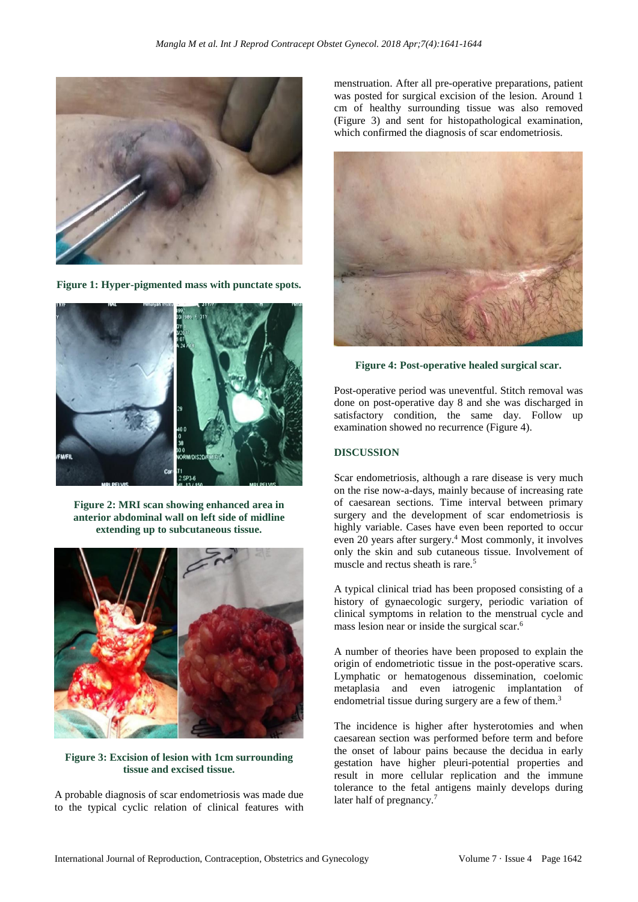

**Figure 1: Hyper-pigmented mass with punctate spots.**



**Figure 2: MRI scan showing enhanced area in anterior abdominal wall on left side of midline extending up to subcutaneous tissue.**



#### **Figure 3: Excision of lesion with 1cm surrounding tissue and excised tissue.**

A probable diagnosis of scar endometriosis was made due to the typical cyclic relation of clinical features with menstruation. After all pre-operative preparations, patient was posted for surgical excision of the lesion. Around 1 cm of healthy surrounding tissue was also removed (Figure 3) and sent for histopathological examination, which confirmed the diagnosis of scar endometriosis.



**Figure 4: Post-operative healed surgical scar.**

Post-operative period was uneventful. Stitch removal was done on post-operative day 8 and she was discharged in satisfactory condition, the same day. Follow up examination showed no recurrence (Figure 4).

#### **DISCUSSION**

Scar endometriosis, although a rare disease is very much on the rise now-a-days, mainly because of increasing rate of caesarean sections. Time interval between primary surgery and the development of scar endometriosis is highly variable. Cases have even been reported to occur even 20 years after surgery.<sup>4</sup> Most commonly, it involves only the skin and sub cutaneous tissue. Involvement of muscle and rectus sheath is rare.<sup>5</sup>

A typical clinical triad has been proposed consisting of a history of gynaecologic surgery, periodic variation of clinical symptoms in relation to the menstrual cycle and mass lesion near or inside the surgical scar.<sup>6</sup>

A number of theories have been proposed to explain the origin of endometriotic tissue in the post-operative scars. Lymphatic or hematogenous dissemination, coelomic metaplasia and even iatrogenic implantation of endometrial tissue during surgery are a few of them.<sup>3</sup>

The incidence is higher after hysterotomies and when caesarean section was performed before term and before the onset of labour pains because the decidua in early gestation have higher pleuri-potential properties and result in more cellular replication and the immune tolerance to the fetal antigens mainly develops during later half of pregnancy.<sup>7</sup>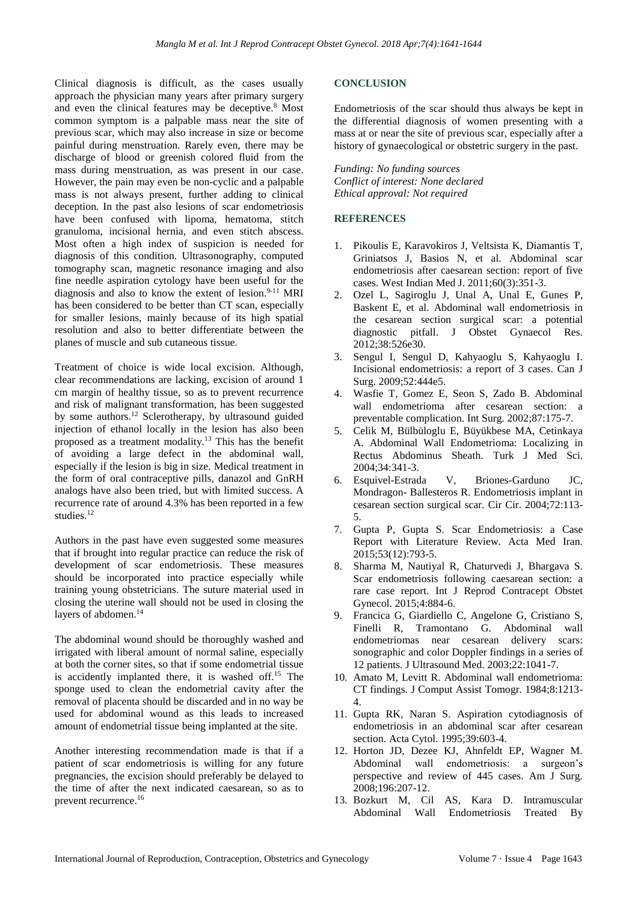Clinical diagnosis is difficult, as the cases usually approach the physician many years after primary surgery and even the clinical features may be deceptive.<sup>8</sup> Most common symptom is a palpable mass near the site of previous scar, which may also increase in size or become painful during menstruation. Rarely even, there may be discharge of blood or greenish colored fluid from the mass during menstruation, as was present in our case. However, the pain may even be non-cyclic and a palpable mass is not always present, further adding to clinical deception. In the past also lesions of scar endometriosis have been confused with lipoma, hematoma, stitch granuloma, incisional hernia, and even stitch abscess. Most often a high index of suspicion is needed for diagnosis of this condition. Ultrasonography, computed tomography scan, magnetic resonance imaging and also fine needle aspiration cytology have been useful for the diagnosis and also to know the extent of lesion.<sup>9-11</sup> MRI has been considered to be better than CT scan, especially for smaller lesions, mainly because of its high spatial resolution and also to better differentiate between the planes of muscle and sub cutaneous tissue.

Treatment of choice is wide local excision. Although, clear recommendations are lacking, excision of around 1 cm margin of healthy tissue, so as to prevent recurrence and risk of malignant transformation, has been suggested by some authors.<sup>12</sup> Sclerotherapy, by ultrasound guided injection of ethanol locally in the lesion has also been proposed as a treatment modality.<sup>13</sup> This has the benefit of avoiding a large defect in the abdominal wall, especially if the lesion is big in size. Medical treatment in the form of oral contraceptive pills, danazol and GnRH analogs have also been tried, but with limited success. A recurrence rate of around 4.3% has been reported in a few studies.<sup>12</sup>

Authors in the past have even suggested some measures that if brought into regular practice can reduce the risk of development of scar endometriosis. These measures should be incorporated into practice especially while training young obstetricians. The suture material used in closing the uterine wall should not be used in closing the layers of abdomen.<sup>14</sup>

The abdominal wound should be thoroughly washed and irrigated with liberal amount of normal saline, especially at both the corner sites, so that if some endometrial tissue is accidently implanted there, it is washed off. $15$  The sponge used to clean the endometrial cavity after the removal of placenta should be discarded and in no way be used for abdominal wound as this leads to increased amount of endometrial tissue being implanted at the site.

Another interesting recommendation made is that if a patient of scar endometriosis is willing for any future pregnancies, the excision should preferably be delayed to the time of after the next indicated caesarean, so as to prevent recurrence.<sup>16</sup>

#### **CONCLUSION**

Endometriosis of the scar should thus always be kept in the differential diagnosis of women presenting with a mass at or near the site of previous scar, especially after a history of gynaecological or obstetric surgery in the past.

*Funding: No funding sources Conflict of interest: None declared Ethical approval: Not required*

### **REFERENCES**

- 1. Pikoulis E, Karavokiros J, Veltsista K, Diamantis T, Griniatsos J, Basios N, et al. Abdominal scar endometriosis after caesarean section: report of five cases. West Indian Med J. 2011;60(3):351-3.
- 2. Ozel L, Sagiroglu J, Unal A, Unal E, Gunes P, Baskent E, et al. Abdominal wall endometriosis in the cesarean section surgical scar: a potential diagnostic pitfall. J Obstet Gynaecol Res. 2012;38:526e30.
- 3. Sengul I, Sengul D, Kahyaoglu S, Kahyaoglu I. Incisional endometriosis: a report of 3 cases. Can J Surg. 2009;52:444e5.
- 4. Wasfie T, Gomez E, Seon S, Zado B. Abdominal wall endometrioma after cesarean section: a preventable complication. Int Surg. 2002;87:175-7.
- 5. Celik M, Bülbüloglu E, Büyükbese MA, Cetinkaya A. Abdominal Wall Endometrioma: Localizing in Rectus Abdominus Sheath. Turk J Med Sci. 2004;34:341-3.
- 6. Esquivel-Estrada V, Briones-Garduno JC, Mondragon- Ballesteros R. Endometriosis implant in cesarean section surgical scar. Cir Cir. 2004;72:113- 5.
- 7. Gupta P, Gupta S. Scar Endometriosis: a Case Report with Literature Review. Acta Med Iran. 2015;53(12):793-5.
- 8. Sharma M, Nautiyal R, Chaturvedi J, Bhargava S. Scar endometriosis following caesarean section: a rare case report. Int J Reprod Contracept Obstet Gynecol. 2015;4:884-6.
- 9. Francica G, Giardiello C, Angelone G, Cristiano S, Finelli R, Tramontano G. Abdominal wall endometriomas near cesarean delivery scars: sonographic and color Doppler findings in a series of 12 patients. J Ultrasound Med. 2003;22:1041-7.
- 10. Amato M, Levitt R. Abdominal wall endometrioma: CT findings. J Comput Assist Tomogr. 1984;8:1213- 4.
- 11. Gupta RK, Naran S. Aspiration cytodiagnosis of endometriosis in an abdominal scar after cesarean section. Acta Cytol. 1995;39:603-4.
- 12. Horton JD, Dezee KJ, Ahnfeldt EP, Wagner M. Abdominal wall endometriosis: a surgeon's perspective and review of 445 cases. Am J Surg. 2008;196:207-12.
- 13. Bozkurt M, Cil AS, Kara D. Intramuscular Abdominal Wall Endometriosis Treated By